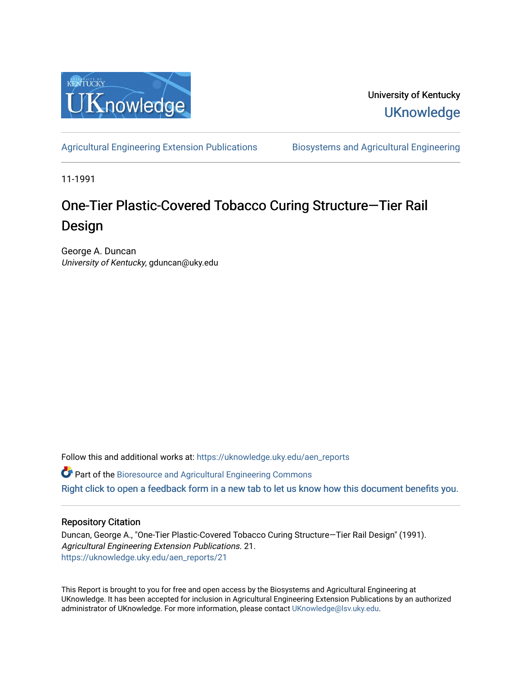

University of Kentucky **UKnowledge** 

[Agricultural Engineering Extension Publications](https://uknowledge.uky.edu/aen_reports) Biosystems and Agricultural Engineering

11-1991

# One-Tier Plastic-Covered Tobacco Curing Structure-Tier Rail Design

George A. Duncan University of Kentucky, gduncan@uky.edu

Follow this and additional works at: [https://uknowledge.uky.edu/aen\\_reports](https://uknowledge.uky.edu/aen_reports?utm_source=uknowledge.uky.edu%2Faen_reports%2F21&utm_medium=PDF&utm_campaign=PDFCoverPages)

Part of the [Bioresource and Agricultural Engineering Commons](http://network.bepress.com/hgg/discipline/1056?utm_source=uknowledge.uky.edu%2Faen_reports%2F21&utm_medium=PDF&utm_campaign=PDFCoverPages)

[Right click to open a feedback form in a new tab to let us know how this document benefits you.](https://uky.az1.qualtrics.com/jfe/form/SV_9mq8fx2GnONRfz7)

#### Repository Citation

Duncan, George A., "One-Tier Plastic-Covered Tobacco Curing Structure—Tier Rail Design" (1991). Agricultural Engineering Extension Publications. 21. [https://uknowledge.uky.edu/aen\\_reports/21](https://uknowledge.uky.edu/aen_reports/21?utm_source=uknowledge.uky.edu%2Faen_reports%2F21&utm_medium=PDF&utm_campaign=PDFCoverPages) 

This Report is brought to you for free and open access by the Biosystems and Agricultural Engineering at UKnowledge. It has been accepted for inclusion in Agricultural Engineering Extension Publications by an authorized administrator of UKnowledge. For more information, please contact [UKnowledge@lsv.uky.edu](mailto:UKnowledge@lsv.uky.edu).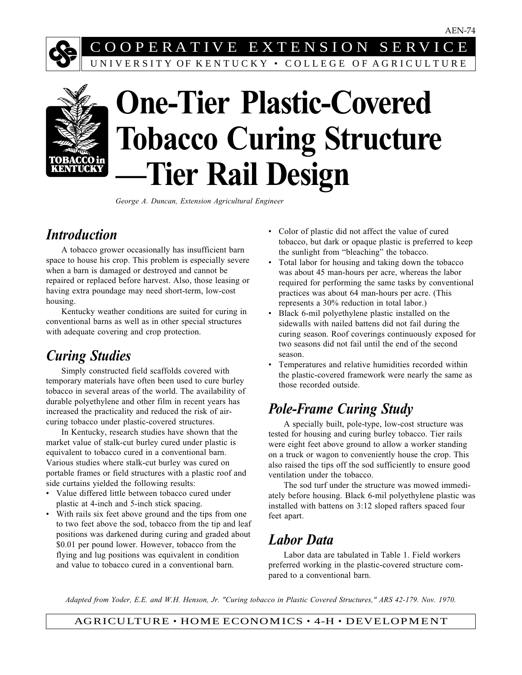# C O O P E R A T I V E E X T E N S I O N S E R V I C E UNIVERSITY OF KENTUCKY • COLLEGE OF AGRICULTURE



# **One-Tier Plastic-Covered Tobacco Curing Structure —Tier Rail Design**

*George A. Duncan, Extension Agricultural Engineer*

### *Introduction*

A tobacco grower occasionally has insufficient barn space to house his crop. This problem is especially severe when a barn is damaged or destroyed and cannot be repaired or replaced before harvest. Also, those leasing or having extra poundage may need short-term, low-cost housing.

Kentucky weather conditions are suited for curing in conventional barns as well as in other special structures with adequate covering and crop protection.

## *Curing Studies*

Simply constructed field scaffolds covered with temporary materials have often been used to cure burley tobacco in several areas of the world. The availability of durable polyethylene and other film in recent years has increased the practicality and reduced the risk of aircuring tobacco under plastic-covered structures.

In Kentucky, research studies have shown that the market value of stalk-cut burley cured under plastic is equivalent to tobacco cured in a conventional barn. Various studies where stalk-cut burley was cured on portable frames or field structures with a plastic roof and side curtains yielded the following results:

- Value differed little between tobacco cured under plastic at 4-inch and 5-inch stick spacing.
- With rails six feet above ground and the tips from one to two feet above the sod, tobacco from the tip and leaf positions was darkened during curing and graded about \$0.01 per pound lower. However, tobacco from the flying and lug positions was equivalent in condition and value to tobacco cured in a conventional barn.
- Color of plastic did not affect the value of cured tobacco, but dark or opaque plastic is preferred to keep the sunlight from "bleaching" the tobacco.
- Total labor for housing and taking down the tobacco was about 45 man-hours per acre, whereas the labor required for performing the same tasks by conventional practices was about 64 man-hours per acre. (This represents a 30% reduction in total labor.)
- Black 6-mil polyethylene plastic installed on the sidewalls with nailed battens did not fail during the curing season. Roof coverings continuously exposed for two seasons did not fail until the end of the second season.
- Temperatures and relative humidities recorded within the plastic-covered framework were nearly the same as those recorded outside.

# *Pole-Frame Curing Study*

A specially built, pole-type, low-cost structure was tested for housing and curing burley tobacco. Tier rails were eight feet above ground to allow a worker standing on a truck or wagon to conveniently house the crop. This also raised the tips off the sod sufficiently to ensure good ventilation under the tobacco.

The sod turf under the structure was mowed immediately before housing. Black 6-mil polyethylene plastic was installed with battens on 3:12 sloped rafters spaced four feet apart.

# *Labor Data*

Labor data are tabulated in Table 1. Field workers preferred working in the plastic-covered structure compared to a conventional barn.

*Adapted from Yoder, E.E. and W.H. Henson, Jr. "Curing tobacco in Plastic Covered Structures," ARS 42-179. Nov. 1970.*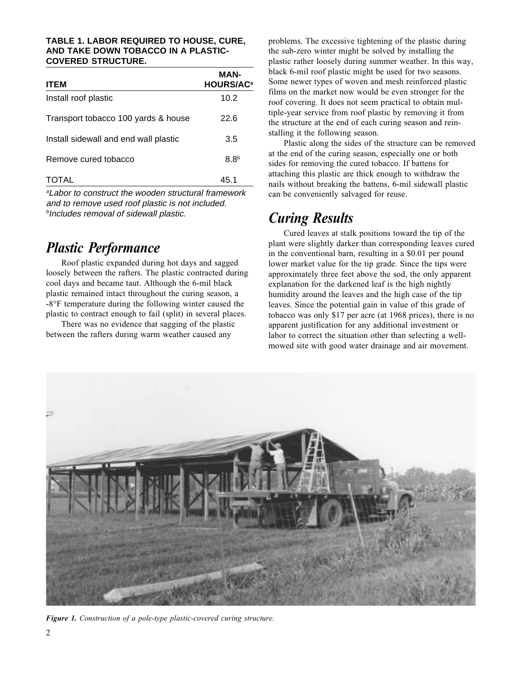#### **TABLE 1. LABOR REQUIRED TO HOUSE, CURE, AND TAKE DOWN TOBACCO IN A PLASTIC-COVERED STRUCTURE.**

| <b>ITEM</b>                           | MAN-<br><b>HOURS/AC<sup>a</sup></b> |
|---------------------------------------|-------------------------------------|
| Install roof plastic                  | 10.2                                |
| Transport tobacco 100 yards & house   | 22.6                                |
| Install sidewall and end wall plastic | 3.5                                 |
| Remove cured tobacco                  | 8.8 <sup>b</sup>                    |
| <b>TOTAL</b>                          | 45.1                                |

<sup>a</sup>Labor to construct the wooden structural framework and to remove used roof plastic is not included. **bIncludes removal of sidewall plastic.** 

#### *Plastic Performance*

Roof plastic expanded during hot days and sagged loosely between the rafters. The plastic contracted during cool days and became taut. Although the 6-mil black plastic remained intact throughout the curing season, a -8°F temperature during the following winter caused the plastic to contract enough to fail (split) in several places.

There was no evidence that sagging of the plastic between the rafters during warm weather caused any

problems. The excessive tightening of the plastic during the sub-zero winter might be solved by installing the plastic rather loosely during summer weather. In this way, black 6-mil roof plastic might be used for two seasons. Some newer types of woven and mesh reinforced plastic films on the market now would be even stronger for the roof covering. It does not seem practical to obtain multiple-year service from roof plastic by removing it from the structure at the end of each curing season and reinstalling it the following season.

Plastic along the sides of the structure can be removed at the end of the curing season, especially one or both sides for removing the cured tobacco. If battens for attaching this plastic are thick enough to withdraw the nails without breaking the battens, 6-mil sidewall plastic can be conveniently salvaged for reuse.

#### *Curing Results*

Cured leaves at stalk positions toward the tip of the plant were slightly darker than corresponding leaves cured in the conventional barn, resulting in a \$0.01 per pound lower market value for the tip grade. Since the tips were approximately three feet above the sod, the only apparent explanation for the darkened leaf is the high nightly humidity around the leaves and the high case of the tip leaves. Since the potential gain in value of this grade of tobacco was only \$17 per acre (at 1968 prices), there is no apparent justification for any additional investment or labor to correct the situation other than selecting a wellmowed site with good water drainage and air movement.



*Figure 1. Construction of a pole-type plastic-covered curing structure.*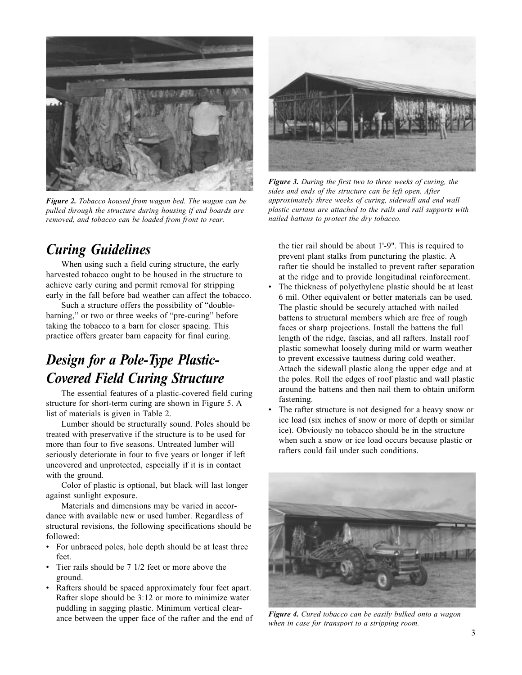

*Figure 2. Tobacco housed from wagon bed. The wagon can be pulled through the structure during housing if end boards are removed, and tobacco can be loaded from front to rear.*

## *Curing Guidelines*

When using such a field curing structure, the early harvested tobacco ought to be housed in the structure to achieve early curing and permit removal for stripping early in the fall before bad weather can affect the tobacco.

Such a structure offers the possibility of "doublebarning," or two or three weeks of "pre-curing" before taking the tobacco to a barn for closer spacing. This practice offers greater barn capacity for final curing.

# *Design for a Pole-Type Plastic-Covered Field Curing Structure*

The essential features of a plastic-covered field curing structure for short-term curing are shown in Figure 5. A list of materials is given in Table 2.

Lumber should be structurally sound. Poles should be treated with preservative if the structure is to be used for more than four to five seasons. Untreated lumber will seriously deteriorate in four to five years or longer if left uncovered and unprotected, especially if it is in contact with the ground.

Color of plastic is optional, but black will last longer against sunlight exposure.

Materials and dimensions may be varied in accordance with available new or used lumber. Regardless of structural revisions, the following specifications should be followed:

- For unbraced poles, hole depth should be at least three feet.
- Tier rails should be 7 1/2 feet or more above the ground.
- Rafters should be spaced approximately four feet apart. Rafter slope should be 3:12 or more to minimize water puddling in sagging plastic. Minimum vertical clearance between the upper face of the rafter and the end of



*Figure 3. During the first two to three weeks of curing, the sides and ends of the structure can be left open. After approximately three weeks of curing, sidewall and end wall plastic curtans are attached to the rails and rail supports with nailed battens to protect the dry tobacco.*

the tier rail should be about 1'-9". This is required to prevent plant stalks from puncturing the plastic. A rafter tie should be installed to prevent rafter separation at the ridge and to provide longitudinal reinforcement.

- The thickness of polyethylene plastic should be at least 6 mil. Other equivalent or better materials can be used. The plastic should be securely attached with nailed battens to structural members which are free of rough faces or sharp projections. Install the battens the full length of the ridge, fascias, and all rafters. Install roof plastic somewhat loosely during mild or warm weather to prevent excessive tautness during cold weather. Attach the sidewall plastic along the upper edge and at the poles. Roll the edges of roof plastic and wall plastic around the battens and then nail them to obtain uniform fastening.
- The rafter structure is not designed for a heavy snow or ice load (six inches of snow or more of depth or similar ice). Obviously no tobacco should be in the structure when such a snow or ice load occurs because plastic or rafters could fail under such conditions.



*Figure 4. Cured tobacco can be easily bulked onto a wagon when in case for transport to a stripping room.*